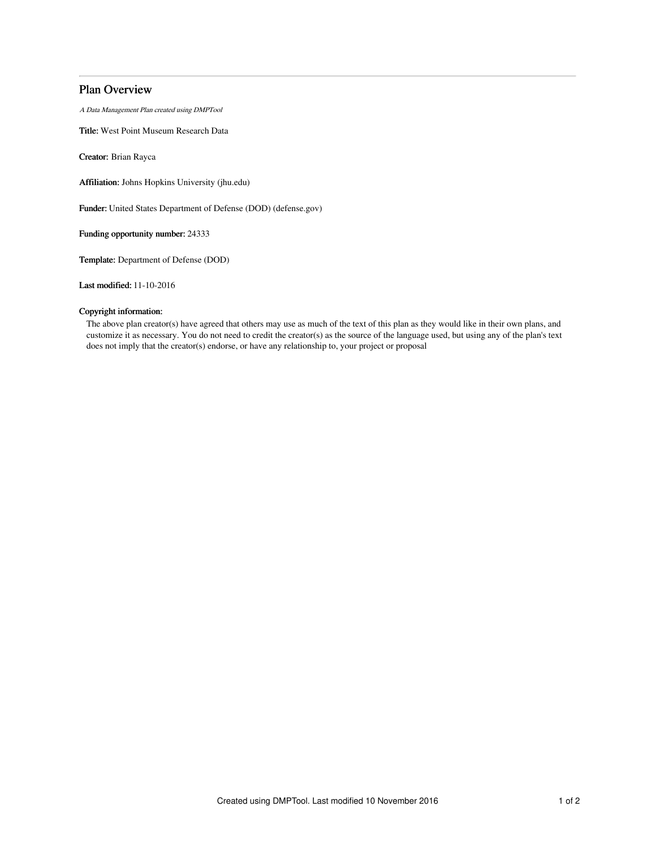# Plan Overview

A Data Management Plan created using DMPTool

Title: West Point Museum Research Data

Creator: Brian Rayca

Affiliation: Johns Hopkins University (jhu.edu)

Funder: United States Department of Defense (DOD) (defense.gov)

Funding opportunity number: 24333

Template: Department of Defense (DOD)

Last modified: 11-10-2016

## Copyright information:

The above plan creator(s) have agreed that others may use as much of the text of this plan as they would like in their own plans, and customize it as necessary. You do not need to credit the creator(s) as the source of the language used, but using any of the plan's text does not imply that the creator(s) endorse, or have any relationship to, your project or proposal